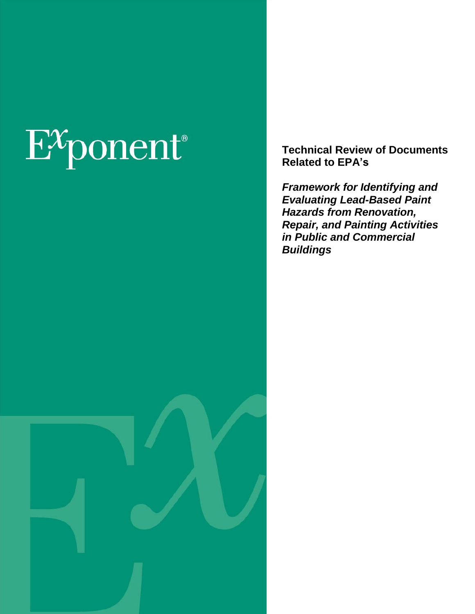# $E^x$ ponent®

**Technical Review of Documents Related to EPA's**

*Framework for Identifying and Evaluating Lead-Based Paint Hazards from Renovation, Repair, and Painting Activities in Public and Commercial Buildings*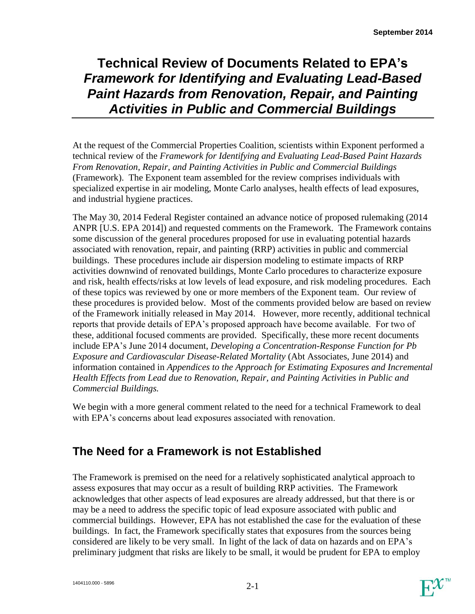# **Technical Review of Documents Related to EPA's** *Framework for Identifying and Evaluating Lead-Based Paint Hazards from Renovation, Repair, and Painting Activities in Public and Commercial Buildings*

At the request of the Commercial Properties Coalition, scientists within Exponent performed a technical review of the *Framework for Identifying and Evaluating Lead-Based Paint Hazards From Renovation, Repair, and Painting Activities in Public and Commercial Buildings* (Framework). The Exponent team assembled for the review comprises individuals with specialized expertise in air modeling, Monte Carlo analyses, health effects of lead exposures, and industrial hygiene practices.

The May 30, 2014 Federal Register contained an advance notice of proposed rulemaking (2014 ANPR [U.S. EPA 2014]) and requested comments on the Framework. The Framework contains some discussion of the general procedures proposed for use in evaluating potential hazards associated with renovation, repair, and painting (RRP) activities in public and commercial buildings. These procedures include air dispersion modeling to estimate impacts of RRP activities downwind of renovated buildings, Monte Carlo procedures to characterize exposure and risk, health effects/risks at low levels of lead exposure, and risk modeling procedures. Each of these topics was reviewed by one or more members of the Exponent team. Our review of these procedures is provided below. Most of the comments provided below are based on review of the Framework initially released in May 2014. However, more recently, additional technical reports that provide details of EPA's proposed approach have become available. For two of these, additional focused comments are provided. Specifically, these more recent documents include EPA's June 2014 document, *Developing a Concentration-Response Function for Pb Exposure and Cardiovascular Disease-Related Mortality* (Abt Associates, June 2014) and information contained in *Appendices to the Approach for Estimating Exposures and Incremental Health Effects from Lead due to Renovation, Repair, and Painting Activities in Public and Commercial Buildings.* 

We begin with a more general comment related to the need for a technical Framework to deal with EPA's concerns about lead exposures associated with renovation.

# **The Need for a Framework is not Established**

The Framework is premised on the need for a relatively sophisticated analytical approach to assess exposures that may occur as a result of building RRP activities. The Framework acknowledges that other aspects of lead exposures are already addressed, but that there is or may be a need to address the specific topic of lead exposure associated with public and commercial buildings. However, EPA has not established the case for the evaluation of these buildings. In fact, the Framework specifically states that exposures from the sources being considered are likely to be very small. In light of the lack of data on hazards and on EPA's preliminary judgment that risks are likely to be small, it would be prudent for EPA to employ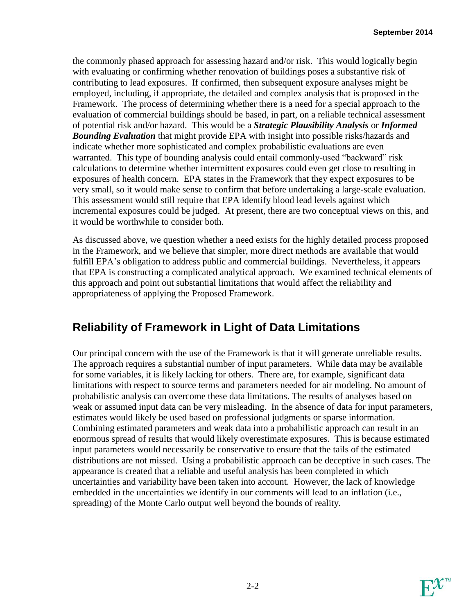the commonly phased approach for assessing hazard and/or risk. This would logically begin with evaluating or confirming whether renovation of buildings poses a substantive risk of contributing to lead exposures. If confirmed, then subsequent exposure analyses might be employed, including, if appropriate, the detailed and complex analysis that is proposed in the Framework. The process of determining whether there is a need for a special approach to the evaluation of commercial buildings should be based, in part, on a reliable technical assessment of potential risk and/or hazard. This would be a *Strategic Plausibility Analysis* or *Informed Bounding Evaluation* that might provide EPA with insight into possible risks/hazards and indicate whether more sophisticated and complex probabilistic evaluations are even warranted. This type of bounding analysis could entail commonly-used "backward" risk calculations to determine whether intermittent exposures could even get close to resulting in exposures of health concern. EPA states in the Framework that they expect exposures to be very small, so it would make sense to confirm that before undertaking a large-scale evaluation. This assessment would still require that EPA identify blood lead levels against which incremental exposures could be judged. At present, there are two conceptual views on this, and it would be worthwhile to consider both.

As discussed above, we question whether a need exists for the highly detailed process proposed in the Framework, and we believe that simpler, more direct methods are available that would fulfill EPA's obligation to address public and commercial buildings. Nevertheless, it appears that EPA is constructing a complicated analytical approach. We examined technical elements of this approach and point out substantial limitations that would affect the reliability and appropriateness of applying the Proposed Framework.

## **Reliability of Framework in Light of Data Limitations**

Our principal concern with the use of the Framework is that it will generate unreliable results. The approach requires a substantial number of input parameters. While data may be available for some variables, it is likely lacking for others. There are, for example, significant data limitations with respect to source terms and parameters needed for air modeling. No amount of probabilistic analysis can overcome these data limitations. The results of analyses based on weak or assumed input data can be very misleading. In the absence of data for input parameters, estimates would likely be used based on professional judgments or sparse information. Combining estimated parameters and weak data into a probabilistic approach can result in an enormous spread of results that would likely overestimate exposures. This is because estimated input parameters would necessarily be conservative to ensure that the tails of the estimated distributions are not missed. Using a probabilistic approach can be deceptive in such cases. The appearance is created that a reliable and useful analysis has been completed in which uncertainties and variability have been taken into account. However, the lack of knowledge embedded in the uncertainties we identify in our comments will lead to an inflation (i.e., spreading) of the Monte Carlo output well beyond the bounds of reality.

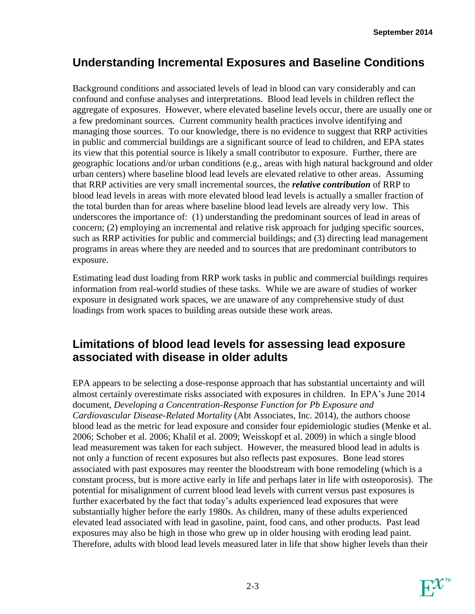## **Understanding Incremental Exposures and Baseline Conditions**

Background conditions and associated levels of lead in blood can vary considerably and can confound and confuse analyses and interpretations. Blood lead levels in children reflect the aggregate of exposures. However, where elevated baseline levels occur, there are usually one or a few predominant sources. Current community health practices involve identifying and managing those sources. To our knowledge, there is no evidence to suggest that RRP activities in public and commercial buildings are a significant source of lead to children, and EPA states its view that this potential source is likely a small contributor to exposure. Further, there are geographic locations and/or urban conditions (e.g., areas with high natural background and older urban centers) where baseline blood lead levels are elevated relative to other areas. Assuming that RRP activities are very small incremental sources, the *relative contribution* of RRP to blood lead levels in areas with more elevated blood lead levels is actually a smaller fraction of the total burden than for areas where baseline blood lead levels are already very low. This underscores the importance of: (1) understanding the predominant sources of lead in areas of concern; (2) employing an incremental and relative risk approach for judging specific sources, such as RRP activities for public and commercial buildings; and (3) directing lead management programs in areas where they are needed and to sources that are predominant contributors to exposure.

Estimating lead dust loading from RRP work tasks in public and commercial buildings requires information from real-world studies of these tasks. While we are aware of studies of worker exposure in designated work spaces, we are unaware of any comprehensive study of dust loadings from work spaces to building areas outside these work areas.

## **Limitations of blood lead levels for assessing lead exposure associated with disease in older adults**

EPA appears to be selecting a dose-response approach that has substantial uncertainty and will almost certainly overestimate risks associated with exposures in children. In EPA's June 2014 document, *Developing a Concentration-Response Function for Pb Exposure and Cardiovascular Disease-Related Mortality* (Abt Associates, Inc. 2014), the authors choose blood lead as the metric for lead exposure and consider four epidemiologic studies (Menke et al. 2006; Schober et al. 2006; Khalil et al. 2009; Weisskopf et al. 2009) in which a single blood lead measurement was taken for each subject. However, the measured blood lead in adults is not only a function of recent exposures but also reflects past exposures. Bone lead stores associated with past exposures may reenter the bloodstream with bone remodeling (which is a constant process, but is more active early in life and perhaps later in life with osteoporosis). The potential for misalignment of current blood lead levels with current versus past exposures is further exacerbated by the fact that today's adults experienced lead exposures that were substantially higher before the early 1980s. As children, many of these adults experienced elevated lead associated with lead in gasoline, paint, food cans, and other products. Past lead exposures may also be high in those who grew up in older housing with eroding lead paint. Therefore, adults with blood lead levels measured later in life that show higher levels than their

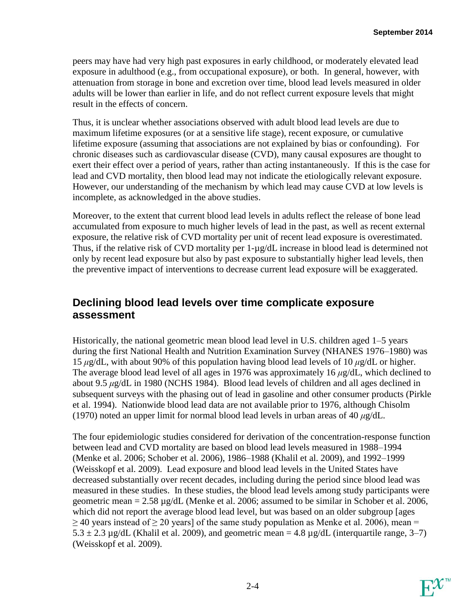peers may have had very high past exposures in early childhood, or moderately elevated lead exposure in adulthood (e.g., from occupational exposure), or both. In general, however, with attenuation from storage in bone and excretion over time, blood lead levels measured in older adults will be lower than earlier in life, and do not reflect current exposure levels that might result in the effects of concern.

Thus, it is unclear whether associations observed with adult blood lead levels are due to maximum lifetime exposures (or at a sensitive life stage), recent exposure, or cumulative lifetime exposure (assuming that associations are not explained by bias or confounding). For chronic diseases such as cardiovascular disease (CVD), many causal exposures are thought to exert their effect over a period of years, rather than acting instantaneously. If this is the case for lead and CVD mortality, then blood lead may not indicate the etiologically relevant exposure. However, our understanding of the mechanism by which lead may cause CVD at low levels is incomplete, as acknowledged in the above studies.

Moreover, to the extent that current blood lead levels in adults reflect the release of bone lead accumulated from exposure to much higher levels of lead in the past, as well as recent external exposure, the relative risk of CVD mortality per unit of recent lead exposure is overestimated. Thus, if the relative risk of CVD mortality per 1-µg/dL increase in blood lead is determined not only by recent lead exposure but also by past exposure to substantially higher lead levels, then the preventive impact of interventions to decrease current lead exposure will be exaggerated.

#### **Declining blood lead levels over time complicate exposure assessment**

Historically, the national geometric mean blood lead level in U.S. children aged 1–5 years during the first National Health and Nutrition Examination Survey (NHANES 1976–1980) was 15 *μ*g/dL, with about 90% of this population having blood lead levels of 10 *μ*g/dL or higher. The average blood lead level of all ages in 1976 was approximately 16 *μ*g/dL, which declined to about 9.5 *μ*g/dL in 1980 (NCHS 1984). Blood lead levels of children and all ages declined in subsequent surveys with the phasing out of lead in gasoline and other consumer products (Pirkle et al. 1994). Nationwide blood lead data are not available prior to 1976, although Chisolm (1970) noted an upper limit for normal blood lead levels in urban areas of 40 *μ*g/dL.

The four epidemiologic studies considered for derivation of the concentration-response function between lead and CVD mortality are based on blood lead levels measured in 1988–1994 (Menke et al. 2006; Schober et al. 2006), 1986–1988 (Khalil et al. 2009), and 1992–1999 (Weisskopf et al. 2009). Lead exposure and blood lead levels in the United States have decreased substantially over recent decades, including during the period since blood lead was measured in these studies. In these studies, the blood lead levels among study participants were geometric mean  $= 2.58 \mu g/dL$  (Menke et al. 2006; assumed to be similar in Schober et al. 2006, which did not report the average blood lead level, but was based on an older subgroup [ages  $\geq$  40 years instead of  $\geq$  20 years] of the same study population as Menke et al. 2006), mean =  $5.3 \pm 2.3 \,\mu$ g/dL (Khalil et al. 2009), and geometric mean = 4.8  $\mu$ g/dL (interquartile range, 3–7) (Weisskopf et al. 2009).

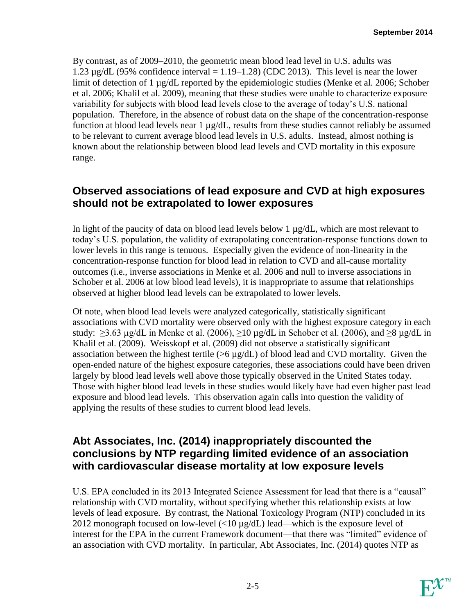By contrast, as of 2009–2010, the geometric mean blood lead level in U.S. adults was 1.23  $\mu$ g/dL (95% confidence interval = 1.19–1.28) (CDC 2013). This level is near the lower limit of detection of 1 µg/dL reported by the epidemiologic studies (Menke et al. 2006; Schober et al. 2006; Khalil et al. 2009), meaning that these studies were unable to characterize exposure variability for subjects with blood lead levels close to the average of today's U.S. national population. Therefore, in the absence of robust data on the shape of the concentration-response function at blood lead levels near  $1 \mu g/dL$ , results from these studies cannot reliably be assumed to be relevant to current average blood lead levels in U.S. adults. Instead, almost nothing is known about the relationship between blood lead levels and CVD mortality in this exposure range.

#### **Observed associations of lead exposure and CVD at high exposures should not be extrapolated to lower exposures**

In light of the paucity of data on blood lead levels below 1 µg/dL, which are most relevant to today's U.S. population, the validity of extrapolating concentration-response functions down to lower levels in this range is tenuous. Especially given the evidence of non-linearity in the concentration-response function for blood lead in relation to CVD and all-cause mortality outcomes (i.e., inverse associations in Menke et al. 2006 and null to inverse associations in Schober et al. 2006 at low blood lead levels), it is inappropriate to assume that relationships observed at higher blood lead levels can be extrapolated to lower levels.

Of note, when blood lead levels were analyzed categorically, statistically significant associations with CVD mortality were observed only with the highest exposure category in each study:  $\geq$ 3.63 µg/dL in Menke et al. (2006),  $\geq$ 10 µg/dL in Schober et al. (2006), and  $\geq$ 8 µg/dL in Khalil et al. (2009). Weisskopf et al. (2009) did not observe a statistically significant association between the highest tertile ( $>6 \mu g/dL$ ) of blood lead and CVD mortality. Given the open-ended nature of the highest exposure categories, these associations could have been driven largely by blood lead levels well above those typically observed in the United States today. Those with higher blood lead levels in these studies would likely have had even higher past lead exposure and blood lead levels. This observation again calls into question the validity of applying the results of these studies to current blood lead levels.

#### **Abt Associates, Inc. (2014) inappropriately discounted the conclusions by NTP regarding limited evidence of an association with cardiovascular disease mortality at low exposure levels**

U.S. EPA concluded in its 2013 Integrated Science Assessment for lead that there is a "causal" relationship with CVD mortality, without specifying whether this relationship exists at low levels of lead exposure. By contrast, the National Toxicology Program (NTP) concluded in its 2012 monograph focused on low-level (<10 µg/dL) lead—which is the exposure level of interest for the EPA in the current Framework document—that there was "limited" evidence of an association with CVD mortality. In particular, Abt Associates, Inc. (2014) quotes NTP as

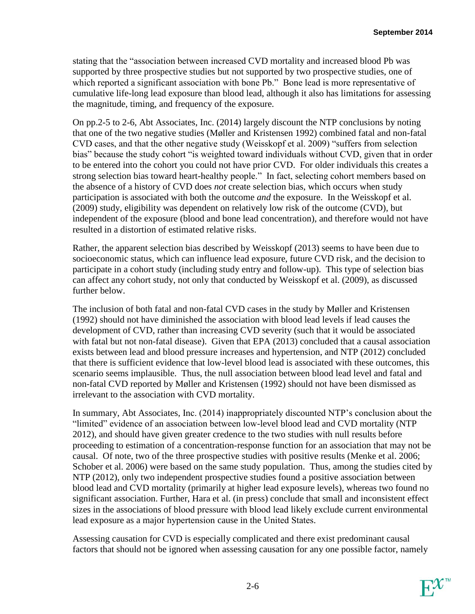stating that the "association between increased CVD mortality and increased blood Pb was supported by three prospective studies but not supported by two prospective studies, one of which reported a significant association with bone Pb." Bone lead is more representative of cumulative life-long lead exposure than blood lead, although it also has limitations for assessing the magnitude, timing, and frequency of the exposure.

On pp.2-5 to 2-6, Abt Associates, Inc. (2014) largely discount the NTP conclusions by noting that one of the two negative studies (Møller and Kristensen 1992) combined fatal and non-fatal CVD cases, and that the other negative study (Weisskopf et al. 2009) "suffers from selection bias" because the study cohort "is weighted toward individuals without CVD, given that in order to be entered into the cohort you could not have prior CVD. For older individuals this creates a strong selection bias toward heart-healthy people." In fact, selecting cohort members based on the absence of a history of CVD does *not* create selection bias, which occurs when study participation is associated with both the outcome *and* the exposure. In the Weisskopf et al. (2009) study, eligibility was dependent on relatively low risk of the outcome (CVD), but independent of the exposure (blood and bone lead concentration), and therefore would not have resulted in a distortion of estimated relative risks.

Rather, the apparent selection bias described by Weisskopf (2013) seems to have been due to socioeconomic status, which can influence lead exposure, future CVD risk, and the decision to participate in a cohort study (including study entry and follow-up). This type of selection bias can affect any cohort study, not only that conducted by Weisskopf et al. (2009), as discussed further below.

The inclusion of both fatal and non-fatal CVD cases in the study by Møller and Kristensen (1992) should not have diminished the association with blood lead levels if lead causes the development of CVD, rather than increasing CVD severity (such that it would be associated with fatal but not non-fatal disease). Given that EPA (2013) concluded that a causal association exists between lead and blood pressure increases and hypertension, and NTP (2012) concluded that there is sufficient evidence that low-level blood lead is associated with these outcomes, this scenario seems implausible. Thus, the null association between blood lead level and fatal and non-fatal CVD reported by Møller and Kristensen (1992) should not have been dismissed as irrelevant to the association with CVD mortality.

In summary, Abt Associates, Inc. (2014) inappropriately discounted NTP's conclusion about the "limited" evidence of an association between low-level blood lead and CVD mortality (NTP 2012), and should have given greater credence to the two studies with null results before proceeding to estimation of a concentration-response function for an association that may not be causal. Of note, two of the three prospective studies with positive results (Menke et al. 2006; Schober et al. 2006) were based on the same study population. Thus, among the studies cited by NTP (2012), only two independent prospective studies found a positive association between blood lead and CVD mortality (primarily at higher lead exposure levels), whereas two found no significant association. Further, Hara et al. (in press) conclude that small and inconsistent effect sizes in the associations of blood pressure with blood lead likely exclude current environmental lead exposure as a major hypertension cause in the United States.

Assessing causation for CVD is especially complicated and there exist predominant causal factors that should not be ignored when assessing causation for any one possible factor, namely

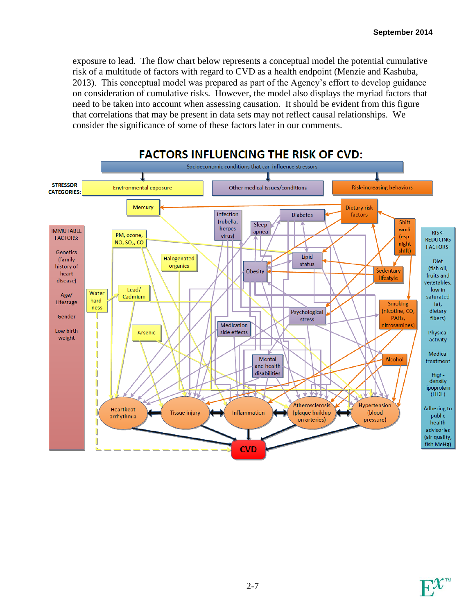exposure to lead. The flow chart below represents a conceptual model the potential cumulative risk of a multitude of factors with regard to CVD as a health endpoint (Menzie and Kashuba, 2013). This conceptual model was prepared as part of the Agency's effort to develop guidance on consideration of cumulative risks. However, the model also displays the myriad factors that need to be taken into account when assessing causation. It should be evident from this figure that correlations that may be present in data sets may not reflect causal relationships. We consider the significance of some of these factors later in our comments.



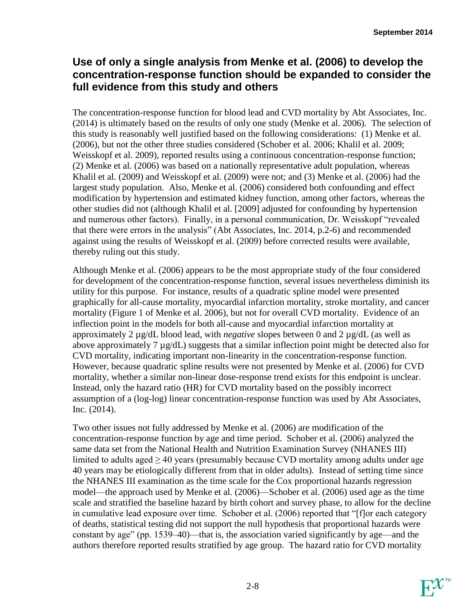#### **Use of only a single analysis from Menke et al. (2006) to develop the concentration-response function should be expanded to consider the full evidence from this study and others**

The concentration-response function for blood lead and CVD mortality by Abt Associates, Inc. (2014) is ultimately based on the results of only one study (Menke et al. 2006). The selection of this study is reasonably well justified based on the following considerations: (1) Menke et al. (2006), but not the other three studies considered (Schober et al. 2006; Khalil et al. 2009; Weisskopf et al. 2009), reported results using a continuous concentration-response function; (2) Menke et al. (2006) was based on a nationally representative adult population, whereas Khalil et al. (2009) and Weisskopf et al. (2009) were not; and (3) Menke et al. (2006) had the largest study population. Also, Menke et al. (2006) considered both confounding and effect modification by hypertension and estimated kidney function, among other factors, whereas the other studies did not (although Khalil et al. [2009] adjusted for confounding by hypertension and numerous other factors). Finally, in a personal communication, Dr. Weisskopf "revealed that there were errors in the analysis" (Abt Associates, Inc. 2014, p.2-6) and recommended against using the results of Weisskopf et al. (2009) before corrected results were available, thereby ruling out this study.

Although Menke et al. (2006) appears to be the most appropriate study of the four considered for development of the concentration-response function, several issues nevertheless diminish its utility for this purpose. For instance, results of a quadratic spline model were presented graphically for all-cause mortality, myocardial infarction mortality, stroke mortality, and cancer mortality (Figure 1 of Menke et al. 2006), but not for overall CVD mortality. Evidence of an inflection point in the models for both all-cause and myocardial infarction mortality at approximately 2 µg/dL blood lead, with *negative* slopes between 0 and 2 µg/dL (as well as above approximately 7 µg/dL) suggests that a similar inflection point might be detected also for CVD mortality, indicating important non-linearity in the concentration-response function. However, because quadratic spline results were not presented by Menke et al. (2006) for CVD mortality, whether a similar non-linear dose-response trend exists for this endpoint is unclear. Instead, only the hazard ratio (HR) for CVD mortality based on the possibly incorrect assumption of a (log-log) linear concentration-response function was used by Abt Associates, Inc. (2014).

Two other issues not fully addressed by Menke et al. (2006) are modification of the concentration-response function by age and time period. Schober et al. (2006) analyzed the same data set from the National Health and Nutrition Examination Survey (NHANES III) limited to adults aged  $\geq 40$  years (presumably because CVD mortality among adults under age 40 years may be etiologically different from that in older adults). Instead of setting time since the NHANES III examination as the time scale for the Cox proportional hazards regression model—the approach used by Menke et al. (2006)—Schober et al. (2006) used age as the time scale and stratified the baseline hazard by birth cohort and survey phase, to allow for the decline in cumulative lead exposure over time. Schober et al. (2006) reported that "[f]or each category of deaths, statistical testing did not support the null hypothesis that proportional hazards were constant by age" (pp. 1539–40)—that is, the association varied significantly by age—and the authors therefore reported results stratified by age group. The hazard ratio for CVD mortality

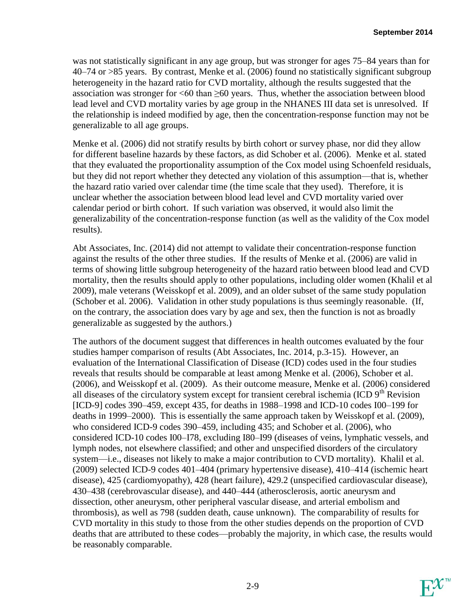was not statistically significant in any age group, but was stronger for ages 75–84 years than for 40–74 or >85 years. By contrast, Menke et al. (2006) found no statistically significant subgroup heterogeneity in the hazard ratio for CVD mortality, although the results suggested that the association was stronger for  $<60$  than  $\geq&60$  years. Thus, whether the association between blood lead level and CVD mortality varies by age group in the NHANES III data set is unresolved. If the relationship is indeed modified by age, then the concentration-response function may not be generalizable to all age groups.

Menke et al. (2006) did not stratify results by birth cohort or survey phase, nor did they allow for different baseline hazards by these factors, as did Schober et al. (2006). Menke et al. stated that they evaluated the proportionality assumption of the Cox model using Schoenfeld residuals, but they did not report whether they detected any violation of this assumption—that is, whether the hazard ratio varied over calendar time (the time scale that they used). Therefore, it is unclear whether the association between blood lead level and CVD mortality varied over calendar period or birth cohort. If such variation was observed, it would also limit the generalizability of the concentration-response function (as well as the validity of the Cox model results).

Abt Associates, Inc. (2014) did not attempt to validate their concentration-response function against the results of the other three studies. If the results of Menke et al. (2006) are valid in terms of showing little subgroup heterogeneity of the hazard ratio between blood lead and CVD mortality, then the results should apply to other populations, including older women (Khalil et al 2009), male veterans (Weisskopf et al. 2009), and an older subset of the same study population (Schober et al. 2006). Validation in other study populations is thus seemingly reasonable. (If, on the contrary, the association does vary by age and sex, then the function is not as broadly generalizable as suggested by the authors.)

The authors of the document suggest that differences in health outcomes evaluated by the four studies hamper comparison of results (Abt Associates, Inc. 2014, p.3-15). However, an evaluation of the International Classification of Disease (ICD) codes used in the four studies reveals that results should be comparable at least among Menke et al. (2006), Schober et al. (2006), and Weisskopf et al. (2009). As their outcome measure, Menke et al. (2006) considered all diseases of the circulatory system except for transient cerebral ischemia (ICD  $9<sup>th</sup>$  Revision [ICD-9] codes 390–459, except 435, for deaths in 1988–1998 and ICD-10 codes I00–199 for deaths in 1999–2000). This is essentially the same approach taken by Weisskopf et al. (2009), who considered ICD-9 codes 390–459, including 435; and Schober et al. (2006), who considered ICD-10 codes I00–I78, excluding I80–I99 (diseases of veins, lymphatic vessels, and lymph nodes, not elsewhere classified; and other and unspecified disorders of the circulatory system—i.e., diseases not likely to make a major contribution to CVD mortality). Khalil et al. (2009) selected ICD-9 codes 401–404 (primary hypertensive disease), 410–414 (ischemic heart disease), 425 (cardiomyopathy), 428 (heart failure), 429.2 (unspecified cardiovascular disease), 430–438 (cerebrovascular disease), and 440–444 (atherosclerosis, aortic aneurysm and dissection, other aneurysm, other peripheral vascular disease, and arterial embolism and thrombosis), as well as 798 (sudden death, cause unknown). The comparability of results for CVD mortality in this study to those from the other studies depends on the proportion of CVD deaths that are attributed to these codes—probably the majority, in which case, the results would be reasonably comparable.

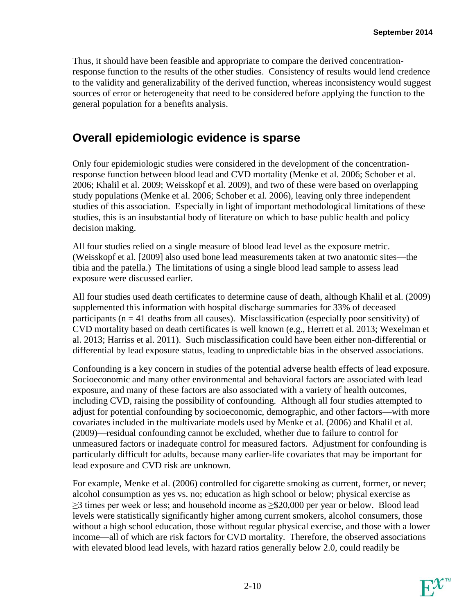Thus, it should have been feasible and appropriate to compare the derived concentrationresponse function to the results of the other studies. Consistency of results would lend credence to the validity and generalizability of the derived function, whereas inconsistency would suggest sources of error or heterogeneity that need to be considered before applying the function to the general population for a benefits analysis.

## **Overall epidemiologic evidence is sparse**

Only four epidemiologic studies were considered in the development of the concentrationresponse function between blood lead and CVD mortality (Menke et al. 2006; Schober et al. 2006; Khalil et al. 2009; Weisskopf et al. 2009), and two of these were based on overlapping study populations (Menke et al. 2006; Schober et al. 2006), leaving only three independent studies of this association. Especially in light of important methodological limitations of these studies, this is an insubstantial body of literature on which to base public health and policy decision making.

All four studies relied on a single measure of blood lead level as the exposure metric. (Weisskopf et al. [2009] also used bone lead measurements taken at two anatomic sites—the tibia and the patella.) The limitations of using a single blood lead sample to assess lead exposure were discussed earlier.

All four studies used death certificates to determine cause of death, although Khalil et al. (2009) supplemented this information with hospital discharge summaries for 33% of deceased participants ( $n = 41$  deaths from all causes). Misclassification (especially poor sensitivity) of CVD mortality based on death certificates is well known (e.g., Herrett et al. 2013; Wexelman et al. 2013; Harriss et al. 2011). Such misclassification could have been either non-differential or differential by lead exposure status, leading to unpredictable bias in the observed associations.

Confounding is a key concern in studies of the potential adverse health effects of lead exposure. Socioeconomic and many other environmental and behavioral factors are associated with lead exposure, and many of these factors are also associated with a variety of health outcomes, including CVD, raising the possibility of confounding. Although all four studies attempted to adjust for potential confounding by socioeconomic, demographic, and other factors—with more covariates included in the multivariate models used by Menke et al. (2006) and Khalil et al. (2009)—residual confounding cannot be excluded, whether due to failure to control for unmeasured factors or inadequate control for measured factors. Adjustment for confounding is particularly difficult for adults, because many earlier-life covariates that may be important for lead exposure and CVD risk are unknown.

For example, Menke et al. (2006) controlled for cigarette smoking as current, former, or never; alcohol consumption as yes vs. no; education as high school or below; physical exercise as  $\geq$ 3 times per week or less; and household income as  $\geq$ \$20,000 per year or below. Blood lead levels were statistically significantly higher among current smokers, alcohol consumers, those without a high school education, those without regular physical exercise, and those with a lower income—all of which are risk factors for CVD mortality. Therefore, the observed associations with elevated blood lead levels, with hazard ratios generally below 2.0, could readily be

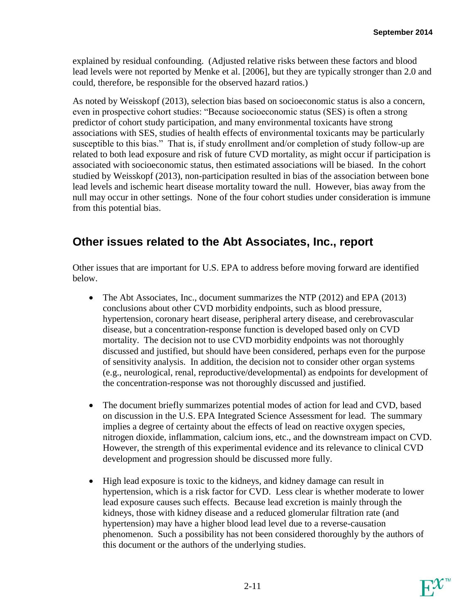explained by residual confounding. (Adjusted relative risks between these factors and blood lead levels were not reported by Menke et al. [2006], but they are typically stronger than 2.0 and could, therefore, be responsible for the observed hazard ratios.)

As noted by Weisskopf (2013), selection bias based on socioeconomic status is also a concern, even in prospective cohort studies: "Because socioeconomic status (SES) is often a strong predictor of cohort study participation, and many environmental toxicants have strong associations with SES, studies of health effects of environmental toxicants may be particularly susceptible to this bias." That is, if study enrollment and/or completion of study follow-up are related to both lead exposure and risk of future CVD mortality, as might occur if participation is associated with socioeconomic status, then estimated associations will be biased. In the cohort studied by Weisskopf (2013), non-participation resulted in bias of the association between bone lead levels and ischemic heart disease mortality toward the null. However, bias away from the null may occur in other settings. None of the four cohort studies under consideration is immune from this potential bias.

## **Other issues related to the Abt Associates, Inc., report**

Other issues that are important for U.S. EPA to address before moving forward are identified below.

- The Abt Associates, Inc., document summarizes the NTP (2012) and EPA (2013) conclusions about other CVD morbidity endpoints, such as blood pressure, hypertension, coronary heart disease, peripheral artery disease, and cerebrovascular disease, but a concentration-response function is developed based only on CVD mortality. The decision not to use CVD morbidity endpoints was not thoroughly discussed and justified, but should have been considered, perhaps even for the purpose of sensitivity analysis. In addition, the decision not to consider other organ systems (e.g., neurological, renal, reproductive/developmental) as endpoints for development of the concentration-response was not thoroughly discussed and justified.
- The document briefly summarizes potential modes of action for lead and CVD, based on discussion in the U.S. EPA Integrated Science Assessment for lead. The summary implies a degree of certainty about the effects of lead on reactive oxygen species, nitrogen dioxide, inflammation, calcium ions, etc., and the downstream impact on CVD. However, the strength of this experimental evidence and its relevance to clinical CVD development and progression should be discussed more fully.
- High lead exposure is toxic to the kidneys, and kidney damage can result in hypertension, which is a risk factor for CVD. Less clear is whether moderate to lower lead exposure causes such effects. Because lead excretion is mainly through the kidneys, those with kidney disease and a reduced glomerular filtration rate (and hypertension) may have a higher blood lead level due to a reverse-causation phenomenon. Such a possibility has not been considered thoroughly by the authors of this document or the authors of the underlying studies.

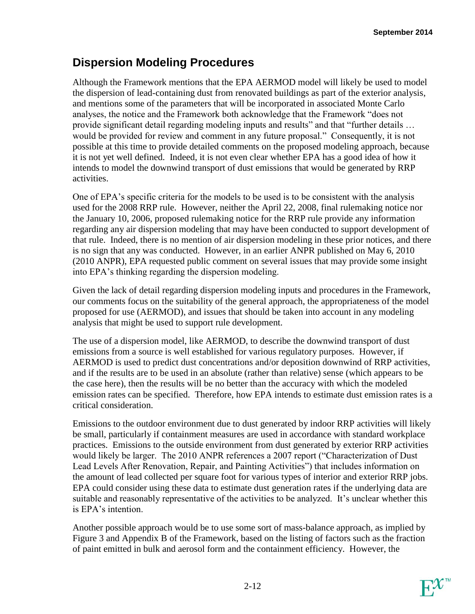## **Dispersion Modeling Procedures**

Although the Framework mentions that the EPA AERMOD model will likely be used to model the dispersion of lead-containing dust from renovated buildings as part of the exterior analysis, and mentions some of the parameters that will be incorporated in associated Monte Carlo analyses, the notice and the Framework both acknowledge that the Framework "does not provide significant detail regarding modeling inputs and results" and that "further details … would be provided for review and comment in any future proposal." Consequently, it is not possible at this time to provide detailed comments on the proposed modeling approach, because it is not yet well defined. Indeed, it is not even clear whether EPA has a good idea of how it intends to model the downwind transport of dust emissions that would be generated by RRP activities.

One of EPA's specific criteria for the models to be used is to be consistent with the analysis used for the 2008 RRP rule. However, neither the April 22, 2008, final rulemaking notice nor the January 10, 2006, proposed rulemaking notice for the RRP rule provide any information regarding any air dispersion modeling that may have been conducted to support development of that rule. Indeed, there is no mention of air dispersion modeling in these prior notices, and there is no sign that any was conducted. However, in an earlier ANPR published on May 6, 2010 (2010 ANPR), EPA requested public comment on several issues that may provide some insight into EPA's thinking regarding the dispersion modeling.

Given the lack of detail regarding dispersion modeling inputs and procedures in the Framework, our comments focus on the suitability of the general approach, the appropriateness of the model proposed for use (AERMOD), and issues that should be taken into account in any modeling analysis that might be used to support rule development.

The use of a dispersion model, like AERMOD, to describe the downwind transport of dust emissions from a source is well established for various regulatory purposes. However, if AERMOD is used to predict dust concentrations and/or deposition downwind of RRP activities, and if the results are to be used in an absolute (rather than relative) sense (which appears to be the case here), then the results will be no better than the accuracy with which the modeled emission rates can be specified. Therefore, how EPA intends to estimate dust emission rates is a critical consideration.

Emissions to the outdoor environment due to dust generated by indoor RRP activities will likely be small, particularly if containment measures are used in accordance with standard workplace practices. Emissions to the outside environment from dust generated by exterior RRP activities would likely be larger. The 2010 ANPR references a 2007 report ("Characterization of Dust Lead Levels After Renovation, Repair, and Painting Activities") that includes information on the amount of lead collected per square foot for various types of interior and exterior RRP jobs. EPA could consider using these data to estimate dust generation rates if the underlying data are suitable and reasonably representative of the activities to be analyzed. It's unclear whether this is EPA's intention.

Another possible approach would be to use some sort of mass-balance approach, as implied by Figure 3 and Appendix B of the Framework, based on the listing of factors such as the fraction of paint emitted in bulk and aerosol form and the containment efficiency. However, the

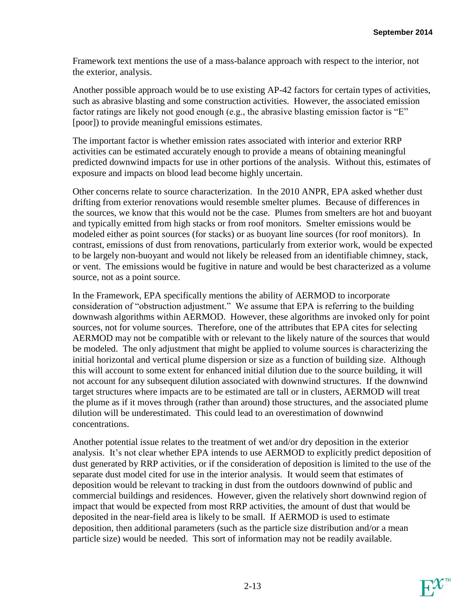Framework text mentions the use of a mass-balance approach with respect to the interior, not the exterior, analysis.

Another possible approach would be to use existing AP-42 factors for certain types of activities, such as abrasive blasting and some construction activities. However, the associated emission factor ratings are likely not good enough (e.g., the abrasive blasting emission factor is "E" [poor]) to provide meaningful emissions estimates.

The important factor is whether emission rates associated with interior and exterior RRP activities can be estimated accurately enough to provide a means of obtaining meaningful predicted downwind impacts for use in other portions of the analysis. Without this, estimates of exposure and impacts on blood lead become highly uncertain.

Other concerns relate to source characterization. In the 2010 ANPR, EPA asked whether dust drifting from exterior renovations would resemble smelter plumes. Because of differences in the sources, we know that this would not be the case. Plumes from smelters are hot and buoyant and typically emitted from high stacks or from roof monitors. Smelter emissions would be modeled either as point sources (for stacks) or as buoyant line sources (for roof monitors). In contrast, emissions of dust from renovations, particularly from exterior work, would be expected to be largely non-buoyant and would not likely be released from an identifiable chimney, stack, or vent. The emissions would be fugitive in nature and would be best characterized as a volume source, not as a point source.

In the Framework, EPA specifically mentions the ability of AERMOD to incorporate consideration of "obstruction adjustment." We assume that EPA is referring to the building downwash algorithms within AERMOD. However, these algorithms are invoked only for point sources, not for volume sources. Therefore, one of the attributes that EPA cites for selecting AERMOD may not be compatible with or relevant to the likely nature of the sources that would be modeled. The only adjustment that might be applied to volume sources is characterizing the initial horizontal and vertical plume dispersion or size as a function of building size. Although this will account to some extent for enhanced initial dilution due to the source building, it will not account for any subsequent dilution associated with downwind structures. If the downwind target structures where impacts are to be estimated are tall or in clusters, AERMOD will treat the plume as if it moves through (rather than around) those structures, and the associated plume dilution will be underestimated. This could lead to an overestimation of downwind concentrations.

Another potential issue relates to the treatment of wet and/or dry deposition in the exterior analysis. It's not clear whether EPA intends to use AERMOD to explicitly predict deposition of dust generated by RRP activities, or if the consideration of deposition is limited to the use of the separate dust model cited for use in the interior analysis. It would seem that estimates of deposition would be relevant to tracking in dust from the outdoors downwind of public and commercial buildings and residences. However, given the relatively short downwind region of impact that would be expected from most RRP activities, the amount of dust that would be deposited in the near-field area is likely to be small. If AERMOD is used to estimate deposition, then additional parameters (such as the particle size distribution and/or a mean particle size) would be needed. This sort of information may not be readily available.

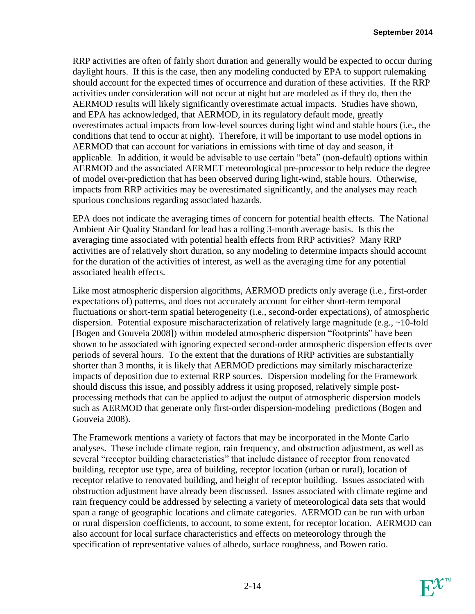RRP activities are often of fairly short duration and generally would be expected to occur during daylight hours. If this is the case, then any modeling conducted by EPA to support rulemaking should account for the expected times of occurrence and duration of these activities. If the RRP activities under consideration will not occur at night but are modeled as if they do, then the AERMOD results will likely significantly overestimate actual impacts. Studies have shown, and EPA has acknowledged, that AERMOD, in its regulatory default mode, greatly overestimates actual impacts from low-level sources during light wind and stable hours (i.e., the conditions that tend to occur at night). Therefore, it will be important to use model options in AERMOD that can account for variations in emissions with time of day and season, if applicable. In addition, it would be advisable to use certain "beta" (non-default) options within AERMOD and the associated AERMET meteorological pre-processor to help reduce the degree of model over-prediction that has been observed during light-wind, stable hours. Otherwise, impacts from RRP activities may be overestimated significantly, and the analyses may reach spurious conclusions regarding associated hazards.

EPA does not indicate the averaging times of concern for potential health effects. The National Ambient Air Quality Standard for lead has a rolling 3-month average basis. Is this the averaging time associated with potential health effects from RRP activities? Many RRP activities are of relatively short duration, so any modeling to determine impacts should account for the duration of the activities of interest, as well as the averaging time for any potential associated health effects.

Like most atmospheric dispersion algorithms, AERMOD predicts only average (i.e., first-order expectations of) patterns, and does not accurately account for either short-term temporal fluctuations or short-term spatial heterogeneity (i.e., second-order expectations), of atmospheric dispersion. Potential exposure mischaracterization of relatively large magnitude (e.g., ~10-fold [Bogen and Gouveia 2008]) within modeled atmospheric dispersion "footprints" have been shown to be associated with ignoring expected second-order atmospheric dispersion effects over periods of several hours. To the extent that the durations of RRP activities are substantially shorter than 3 months, it is likely that AERMOD predictions may similarly mischaracterize impacts of deposition due to external RRP sources. Dispersion modeling for the Framework should discuss this issue, and possibly address it using proposed, relatively simple postprocessing methods that can be applied to adjust the output of atmospheric dispersion models such as AERMOD that generate only first-order dispersion-modeling predictions (Bogen and Gouveia 2008).

The Framework mentions a variety of factors that may be incorporated in the Monte Carlo analyses. These include climate region, rain frequency, and obstruction adjustment, as well as several "receptor building characteristics" that include distance of receptor from renovated building, receptor use type, area of building, receptor location (urban or rural), location of receptor relative to renovated building, and height of receptor building. Issues associated with obstruction adjustment have already been discussed. Issues associated with climate regime and rain frequency could be addressed by selecting a variety of meteorological data sets that would span a range of geographic locations and climate categories. AERMOD can be run with urban or rural dispersion coefficients, to account, to some extent, for receptor location. AERMOD can also account for local surface characteristics and effects on meteorology through the specification of representative values of albedo, surface roughness, and Bowen ratio.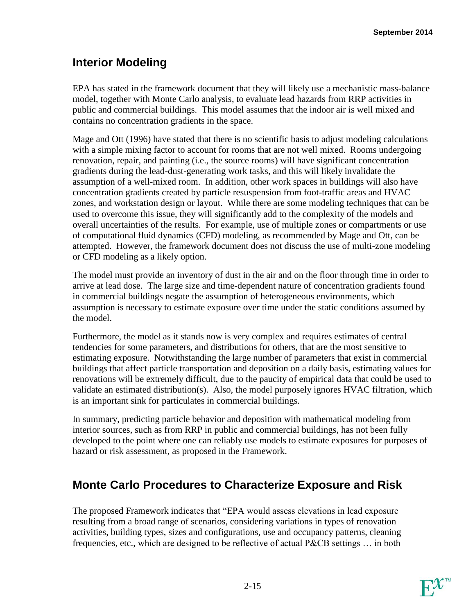## **Interior Modeling**

EPA has stated in the framework document that they will likely use a mechanistic mass-balance model, together with Monte Carlo analysis, to evaluate lead hazards from RRP activities in public and commercial buildings. This model assumes that the indoor air is well mixed and contains no concentration gradients in the space.

Mage and Ott (1996) have stated that there is no scientific basis to adjust modeling calculations with a simple mixing factor to account for rooms that are not well mixed. Rooms undergoing renovation, repair, and painting (i.e., the source rooms) will have significant concentration gradients during the lead-dust-generating work tasks, and this will likely invalidate the assumption of a well-mixed room. In addition, other work spaces in buildings will also have concentration gradients created by particle resuspension from foot-traffic areas and HVAC zones, and workstation design or layout. While there are some modeling techniques that can be used to overcome this issue, they will significantly add to the complexity of the models and overall uncertainties of the results. For example, use of multiple zones or compartments or use of computational fluid dynamics (CFD) modeling, as recommended by Mage and Ott, can be attempted. However, the framework document does not discuss the use of multi-zone modeling or CFD modeling as a likely option.

The model must provide an inventory of dust in the air and on the floor through time in order to arrive at lead dose. The large size and time-dependent nature of concentration gradients found in commercial buildings negate the assumption of heterogeneous environments, which assumption is necessary to estimate exposure over time under the static conditions assumed by the model.

Furthermore, the model as it stands now is very complex and requires estimates of central tendencies for some parameters, and distributions for others, that are the most sensitive to estimating exposure. Notwithstanding the large number of parameters that exist in commercial buildings that affect particle transportation and deposition on a daily basis, estimating values for renovations will be extremely difficult, due to the paucity of empirical data that could be used to validate an estimated distribution(s). Also, the model purposely ignores HVAC filtration, which is an important sink for particulates in commercial buildings.

In summary, predicting particle behavior and deposition with mathematical modeling from interior sources, such as from RRP in public and commercial buildings, has not been fully developed to the point where one can reliably use models to estimate exposures for purposes of hazard or risk assessment, as proposed in the Framework.

# **Monte Carlo Procedures to Characterize Exposure and Risk**

The proposed Framework indicates that "EPA would assess elevations in lead exposure resulting from a broad range of scenarios, considering variations in types of renovation activities, building types, sizes and configurations, use and occupancy patterns, cleaning frequencies, etc., which are designed to be reflective of actual P&CB settings … in both

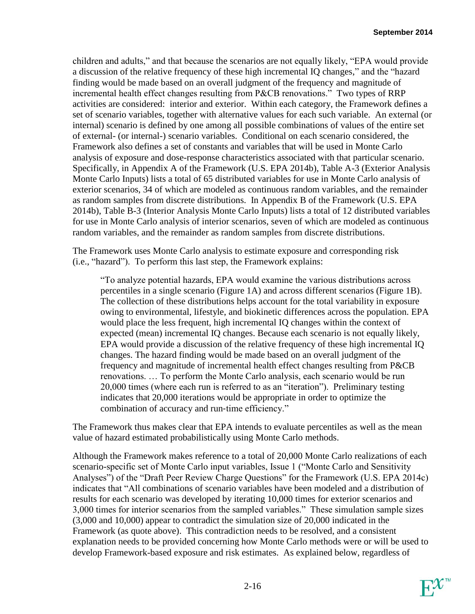children and adults," and that because the scenarios are not equally likely, "EPA would provide a discussion of the relative frequency of these high incremental IQ changes," and the "hazard finding would be made based on an overall judgment of the frequency and magnitude of incremental health effect changes resulting from P&CB renovations." Two types of RRP activities are considered: interior and exterior. Within each category, the Framework defines a set of scenario variables, together with alternative values for each such variable. An external (or internal) scenario is defined by one among all possible combinations of values of the entire set of external- (or internal-) scenario variables. Conditional on each scenario considered, the Framework also defines a set of constants and variables that will be used in Monte Carlo analysis of exposure and dose-response characteristics associated with that particular scenario. Specifically, in Appendix A of the Framework (U.S. EPA 2014b), Table A-3 (Exterior Analysis Monte Carlo Inputs) lists a total of 65 distributed variables for use in Monte Carlo analysis of exterior scenarios, 34 of which are modeled as continuous random variables, and the remainder as random samples from discrete distributions. In Appendix B of the Framework (U.S. EPA 2014b), Table B-3 (Interior Analysis Monte Carlo Inputs) lists a total of 12 distributed variables for use in Monte Carlo analysis of interior scenarios, seven of which are modeled as continuous random variables, and the remainder as random samples from discrete distributions.

The Framework uses Monte Carlo analysis to estimate exposure and corresponding risk (i.e., "hazard"). To perform this last step, the Framework explains:

"To analyze potential hazards, EPA would examine the various distributions across percentiles in a single scenario (Figure 1A) and across different scenarios (Figure 1B). The collection of these distributions helps account for the total variability in exposure owing to environmental, lifestyle, and biokinetic differences across the population. EPA would place the less frequent, high incremental IQ changes within the context of expected (mean) incremental IQ changes. Because each scenario is not equally likely, EPA would provide a discussion of the relative frequency of these high incremental IQ changes. The hazard finding would be made based on an overall judgment of the frequency and magnitude of incremental health effect changes resulting from P&CB renovations. … To perform the Monte Carlo analysis, each scenario would be run 20,000 times (where each run is referred to as an "iteration"). Preliminary testing indicates that 20,000 iterations would be appropriate in order to optimize the combination of accuracy and run-time efficiency."

The Framework thus makes clear that EPA intends to evaluate percentiles as well as the mean value of hazard estimated probabilistically using Monte Carlo methods.

Although the Framework makes reference to a total of 20,000 Monte Carlo realizations of each scenario-specific set of Monte Carlo input variables, Issue 1 ("Monte Carlo and Sensitivity Analyses") of the "Draft Peer Review Charge Questions" for the Framework (U.S. EPA 2014c) indicates that "All combinations of scenario variables have been modeled and a distribution of results for each scenario was developed by iterating 10,000 times for exterior scenarios and 3,000 times for interior scenarios from the sampled variables." These simulation sample sizes (3,000 and 10,000) appear to contradict the simulation size of 20,000 indicated in the Framework (as quote above). This contradiction needs to be resolved, and a consistent explanation needs to be provided concerning how Monte Carlo methods were or will be used to develop Framework-based exposure and risk estimates. As explained below, regardless of

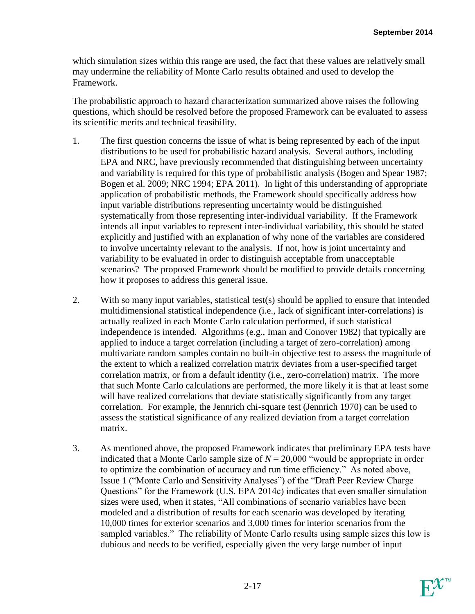which simulation sizes within this range are used, the fact that these values are relatively small may undermine the reliability of Monte Carlo results obtained and used to develop the Framework.

The probabilistic approach to hazard characterization summarized above raises the following questions, which should be resolved before the proposed Framework can be evaluated to assess its scientific merits and technical feasibility.

- 1. The first question concerns the issue of what is being represented by each of the input distributions to be used for probabilistic hazard analysis. Several authors, including EPA and NRC, have previously recommended that distinguishing between uncertainty and variability is required for this type of probabilistic analysis (Bogen and Spear 1987; Bogen et al. 2009; NRC 1994; EPA 2011). In light of this understanding of appropriate application of probabilistic methods, the Framework should specifically address how input variable distributions representing uncertainty would be distinguished systematically from those representing inter-individual variability. If the Framework intends all input variables to represent inter-individual variability, this should be stated explicitly and justified with an explanation of why none of the variables are considered to involve uncertainty relevant to the analysis. If not, how is joint uncertainty and variability to be evaluated in order to distinguish acceptable from unacceptable scenarios? The proposed Framework should be modified to provide details concerning how it proposes to address this general issue.
- 2. With so many input variables, statistical test(s) should be applied to ensure that intended multidimensional statistical independence (i.e., lack of significant inter-correlations) is actually realized in each Monte Carlo calculation performed, if such statistical independence is intended. Algorithms (e.g., Iman and Conover 1982) that typically are applied to induce a target correlation (including a target of zero-correlation) among multivariate random samples contain no built-in objective test to assess the magnitude of the extent to which a realized correlation matrix deviates from a user-specified target correlation matrix, or from a default identity (i.e., zero-correlation) matrix. The more that such Monte Carlo calculations are performed, the more likely it is that at least some will have realized correlations that deviate statistically significantly from any target correlation. For example, the Jennrich chi-square test (Jennrich 1970) can be used to assess the statistical significance of any realized deviation from a target correlation matrix.
- 3. As mentioned above, the proposed Framework indicates that preliminary EPA tests have indicated that a Monte Carlo sample size of  $N = 20,000$  "would be appropriate in order to optimize the combination of accuracy and run time efficiency." As noted above, Issue 1 ("Monte Carlo and Sensitivity Analyses") of the "Draft Peer Review Charge Questions" for the Framework (U.S. EPA 2014c) indicates that even smaller simulation sizes were used, when it states, "All combinations of scenario variables have been modeled and a distribution of results for each scenario was developed by iterating 10,000 times for exterior scenarios and 3,000 times for interior scenarios from the sampled variables." The reliability of Monte Carlo results using sample sizes this low is dubious and needs to be verified, especially given the very large number of input

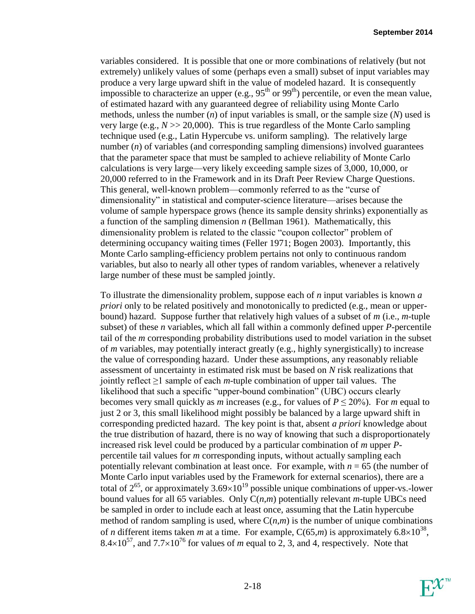variables considered. It is possible that one or more combinations of relatively (but not extremely) unlikely values of some (perhaps even a small) subset of input variables may produce a very large upward shift in the value of modeled hazard. It is consequently impossible to characterize an upper (e.g.,  $95<sup>th</sup>$  or  $99<sup>th</sup>$ ) percentile, or even the mean value, of estimated hazard with any guaranteed degree of reliability using Monte Carlo methods, unless the number (*n*) of input variables is small, or the sample size (*N*) used is very large (e.g.,  $N \gg 20,000$ ). This is true regardless of the Monte Carlo sampling technique used (e.g., Latin Hypercube vs. uniform sampling). The relatively large number (*n*) of variables (and corresponding sampling dimensions) involved guarantees that the parameter space that must be sampled to achieve reliability of Monte Carlo calculations is very large—very likely exceeding sample sizes of 3,000, 10,000, or 20,000 referred to in the Framework and in its Draft Peer Review Charge Questions. This general, well-known problem—commonly referred to as the "curse of dimensionality" in statistical and computer-science literature—arises because the volume of sample hyperspace grows (hence its sample density shrinks) exponentially as a function of the sampling dimension *n* (Bellman 1961). Mathematically, this dimensionality problem is related to the classic "coupon collector" problem of determining occupancy waiting times (Feller 1971; Bogen 2003). Importantly, this Monte Carlo sampling-efficiency problem pertains not only to continuous random variables, but also to nearly all other types of random variables, whenever a relatively large number of these must be sampled jointly.

To illustrate the dimensionality problem, suppose each of *n* input variables is known *a priori* only to be related positively and monotonically to predicted (e.g., mean or upperbound) hazard. Suppose further that relatively high values of a subset of *m* (i.e., *m*-tuple subset) of these *n* variables, which all fall within a commonly defined upper *P*-percentile tail of the *m* corresponding probability distributions used to model variation in the subset of *m* variables, may potentially interact greatly (e.g., highly synergistically) to increase the value of corresponding hazard. Under these assumptions, any reasonably reliable assessment of uncertainty in estimated risk must be based on *N* risk realizations that jointly reflect ≥1 sample of each *m*-tuple combination of upper tail values. The likelihood that such a specific "upper-bound combination" (UBC) occurs clearly becomes very small quickly as *m* increases (e.g., for values of  $P \le 20\%$ ). For *m* equal to just 2 or 3, this small likelihood might possibly be balanced by a large upward shift in corresponding predicted hazard. The key point is that, absent *a priori* knowledge about the true distribution of hazard, there is no way of knowing that such a disproportionately increased risk level could be produced by a particular combination of *m* upper *P*percentile tail values for *m* corresponding inputs, without actually sampling each potentially relevant combination at least once. For example, with  $n = 65$  (the number of Monte Carlo input variables used by the Framework for external scenarios), there are a total of  $2^{65}$ , or approximately  $3.69\times10^{19}$  possible unique combinations of upper-vs.-lower bound values for all 65 variables. Only C(*n*,*m*) potentially relevant *m*-tuple UBCs need be sampled in order to include each at least once, assuming that the Latin hypercube method of random sampling is used, where  $C(n,m)$  is the number of unique combinations of *n* different items taken *m* at a time. For example,  $C(65,m)$  is approximately  $6.8 \times 10^{38}$ , 8.4 $\times$ 10<sup>57</sup>, and 7.7 $\times$ 10<sup>76</sup> for values of *m* equal to 2, 3, and 4, respectively. Note that

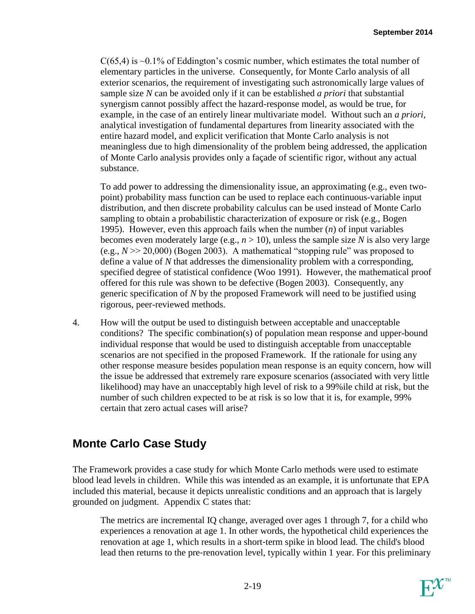$C(65,4)$  is  $\sim 0.1\%$  of Eddington's cosmic number, which estimates the total number of elementary particles in the universe. Consequently, for Monte Carlo analysis of all exterior scenarios, the requirement of investigating such astronomically large values of sample size *N* can be avoided only if it can be established *a priori* that substantial synergism cannot possibly affect the hazard-response model, as would be true, for example, in the case of an entirely linear multivariate model. Without such an *a priori*, analytical investigation of fundamental departures from linearity associated with the entire hazard model, and explicit verification that Monte Carlo analysis is not meaningless due to high dimensionality of the problem being addressed, the application of Monte Carlo analysis provides only a façade of scientific rigor, without any actual substance.

To add power to addressing the dimensionality issue, an approximating (e.g., even twopoint) probability mass function can be used to replace each continuous-variable input distribution, and then discrete probability calculus can be used instead of Monte Carlo sampling to obtain a probabilistic characterization of exposure or risk (e.g., Bogen 1995). However, even this approach fails when the number (*n*) of input variables becomes even moderately large (e.g.,  $n > 10$ ), unless the sample size *N* is also very large (e.g.,  $N \gg 20,000$ ) (Bogen 2003). A mathematical "stopping rule" was proposed to define a value of *N* that addresses the dimensionality problem with a corresponding, specified degree of statistical confidence (Woo 1991). However, the mathematical proof offered for this rule was shown to be defective (Bogen 2003). Consequently, any generic specification of *N* by the proposed Framework will need to be justified using rigorous, peer-reviewed methods.

4. How will the output be used to distinguish between acceptable and unacceptable conditions? The specific combination(s) of population mean response and upper-bound individual response that would be used to distinguish acceptable from unacceptable scenarios are not specified in the proposed Framework. If the rationale for using any other response measure besides population mean response is an equity concern, how will the issue be addressed that extremely rare exposure scenarios (associated with very little likelihood) may have an unacceptably high level of risk to a 99%ile child at risk, but the number of such children expected to be at risk is so low that it is, for example, 99% certain that zero actual cases will arise?

## **Monte Carlo Case Study**

The Framework provides a case study for which Monte Carlo methods were used to estimate blood lead levels in children. While this was intended as an example, it is unfortunate that EPA included this material, because it depicts unrealistic conditions and an approach that is largely grounded on judgment. Appendix C states that:

The metrics are incremental IQ change, averaged over ages 1 through 7, for a child who experiences a renovation at age 1. In other words, the hypothetical child experiences the renovation at age 1, which results in a short‐term spike in blood lead. The child's blood lead then returns to the pre‐renovation level, typically within 1 year. For this preliminary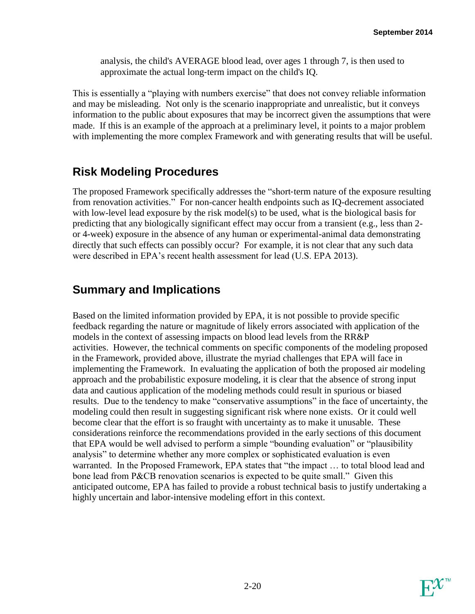analysis, the child's AVERAGE blood lead, over ages 1 through 7, is then used to approximate the actual long‐term impact on the child's IQ.

This is essentially a "playing with numbers exercise" that does not convey reliable information and may be misleading. Not only is the scenario inappropriate and unrealistic, but it conveys information to the public about exposures that may be incorrect given the assumptions that were made. If this is an example of the approach at a preliminary level, it points to a major problem with implementing the more complex Framework and with generating results that will be useful.

## **Risk Modeling Procedures**

The proposed Framework specifically addresses the "short-term nature of the exposure resulting from renovation activities." For non-cancer health endpoints such as IQ-decrement associated with low-level lead exposure by the risk model(s) to be used, what is the biological basis for predicting that any biologically significant effect may occur from a transient (e.g., less than 2 or 4-week) exposure in the absence of any human or experimental-animal data demonstrating directly that such effects can possibly occur? For example, it is not clear that any such data were described in EPA's recent health assessment for lead (U.S. EPA 2013).

## **Summary and Implications**

Based on the limited information provided by EPA, it is not possible to provide specific feedback regarding the nature or magnitude of likely errors associated with application of the models in the context of assessing impacts on blood lead levels from the RR&P activities. However, the technical comments on specific components of the modeling proposed in the Framework, provided above, illustrate the myriad challenges that EPA will face in implementing the Framework. In evaluating the application of both the proposed air modeling approach and the probabilistic exposure modeling, it is clear that the absence of strong input data and cautious application of the modeling methods could result in spurious or biased results. Due to the tendency to make "conservative assumptions" in the face of uncertainty, the modeling could then result in suggesting significant risk where none exists. Or it could well become clear that the effort is so fraught with uncertainty as to make it unusable. These considerations reinforce the recommendations provided in the early sections of this document that EPA would be well advised to perform a simple "bounding evaluation" or "plausibility analysis" to determine whether any more complex or sophisticated evaluation is even warranted. In the Proposed Framework, EPA states that "the impact … to total blood lead and bone lead from P&CB renovation scenarios is expected to be quite small." Given this anticipated outcome, EPA has failed to provide a robust technical basis to justify undertaking a highly uncertain and labor-intensive modeling effort in this context.

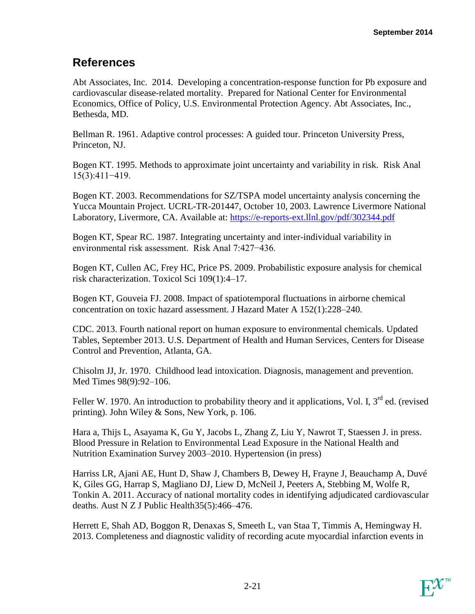## **References**

Abt Associates, Inc. 2014. Developing a concentration-response function for Pb exposure and cardiovascular disease-related mortality. Prepared for National Center for Environmental Economics, Office of Policy, U.S. Environmental Protection Agency. Abt Associates, Inc., Bethesda, MD.

Bellman R. 1961. Adaptive control processes: A guided tour. Princeton University Press, Princeton, NJ.

Bogen KT. 1995. Methods to approximate joint uncertainty and variability in risk. Risk Anal 15(3):411−419.

Bogen KT. 2003. Recommendations for SZ/TSPA model uncertainty analysis concerning the Yucca Mountain Project. UCRL-TR-201447, October 10, 2003. Lawrence Livermore National Laboratory, Livermore, CA. Available at: https://e-reports-ext.llnl.gov/pdf/302344.pdf

Bogen KT, Spear RC. 1987. Integrating uncertainty and inter-individual variability in environmental risk assessment. Risk Anal 7:427−436.

Bogen KT, Cullen AC, Frey HC, Price PS. 2009. Probabilistic exposure analysis for chemical risk characterization. Toxicol Sci 109(1):4–17.

Bogen KT, Gouveia FJ. 2008. Impact of spatiotemporal fluctuations in airborne chemical concentration on toxic hazard assessment. J Hazard Mater A 152(1):228–240.

CDC. 2013. Fourth national report on human exposure to environmental chemicals. Updated Tables, September 2013. U.S. Department of Health and Human Services, Centers for Disease Control and Prevention, Atlanta, GA.

Chisolm JJ, Jr. 1970. Childhood lead intoxication. Diagnosis, management and prevention. Med Times 98(9):92–106.

Feller W. 1970. An introduction to probability theory and it applications, Vol. I, 3<sup>rd</sup> ed. (revised printing). John Wiley & Sons, New York, p. 106.

Hara a, Thijs L, Asayama K, Gu Y, Jacobs L, Zhang Z, Liu Y, Nawrot T, Staessen J. in press. Blood Pressure in Relation to Environmental Lead Exposure in the National Health and Nutrition Examination Survey 2003–2010. Hypertension (in press)

Harriss LR, Ajani AE, Hunt D, Shaw J, Chambers B, Dewey H, Frayne J, Beauchamp A, Duvé K, Giles GG, Harrap S, Magliano DJ, Liew D, McNeil J, Peeters A, Stebbing M, Wolfe R, Tonkin A. 2011. Accuracy of national mortality codes in identifying adjudicated cardiovascular deaths. Aust N Z J Public Health35(5):466–476.

Herrett E, Shah AD, Boggon R, Denaxas S, Smeeth L, van Staa T, Timmis A, Hemingway H. 2013. Completeness and diagnostic validity of recording acute myocardial infarction events in

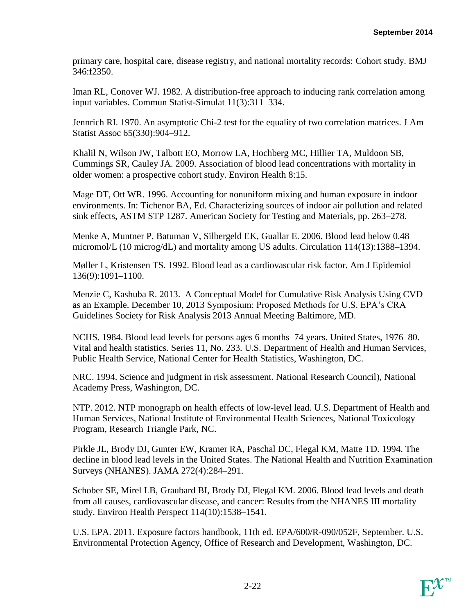primary care, hospital care, disease registry, and national mortality records: Cohort study. BMJ 346:f2350.

Iman RL, Conover WJ. 1982. A distribution-free approach to inducing rank correlation among input variables. Commun Statist-Simulat 11(3):311–334.

Jennrich RI. 1970. An asymptotic Chi-2 test for the equality of two correlation matrices. J Am Statist Assoc 65(330):904–912.

Khalil N, Wilson JW, Talbott EO, Morrow LA, Hochberg MC, Hillier TA, Muldoon SB, Cummings SR, Cauley JA. 2009. Association of blood lead concentrations with mortality in older women: a prospective cohort study. Environ Health 8:15.

Mage DT, Ott WR. 1996. Accounting for nonuniform mixing and human exposure in indoor environments. In: Tichenor BA, Ed. Characterizing sources of indoor air pollution and related sink effects, ASTM STP 1287. American Society for Testing and Materials, pp. 263–278.

Menke A, Muntner P, Batuman V, Silbergeld EK, Guallar E. 2006. Blood lead below 0.48 micromol/L (10 microg/dL) and mortality among US adults. Circulation 114(13):1388–1394.

Møller L, Kristensen TS. 1992. Blood lead as a cardiovascular risk factor. Am J Epidemiol 136(9):1091–1100.

Menzie C, Kashuba R. 2013. A Conceptual Model for Cumulative Risk Analysis Using CVD as an Example. December 10, 2013 Symposium: Proposed Methods for U.S. EPA's CRA Guidelines Society for Risk Analysis 2013 Annual Meeting Baltimore, MD.

NCHS. 1984. Blood lead levels for persons ages 6 months–74 years. United States, 1976–80. Vital and health statistics. Series 11, No. 233. U.S. Department of Health and Human Services, Public Health Service, National Center for Health Statistics, Washington, DC.

NRC. 1994. Science and judgment in risk assessment. National Research Council), National Academy Press, Washington, DC.

NTP. 2012. NTP monograph on health effects of low-level lead. U.S. Department of Health and Human Services, National Institute of Environmental Health Sciences, National Toxicology Program, Research Triangle Park, NC.

Pirkle JL, Brody DJ, Gunter EW, Kramer RA, Paschal DC, Flegal KM, Matte TD. 1994. The decline in blood lead levels in the United States. The National Health and Nutrition Examination Surveys (NHANES). JAMA 272(4):284–291.

Schober SE, Mirel LB, Graubard BI, Brody DJ, Flegal KM. 2006. Blood lead levels and death from all causes, cardiovascular disease, and cancer: Results from the NHANES III mortality study. Environ Health Perspect 114(10):1538–1541.

U.S. EPA. 2011. Exposure factors handbook, 11th ed. EPA/600/R-090/052F, September. U.S. Environmental Protection Agency, Office of Research and Development, Washington, DC.